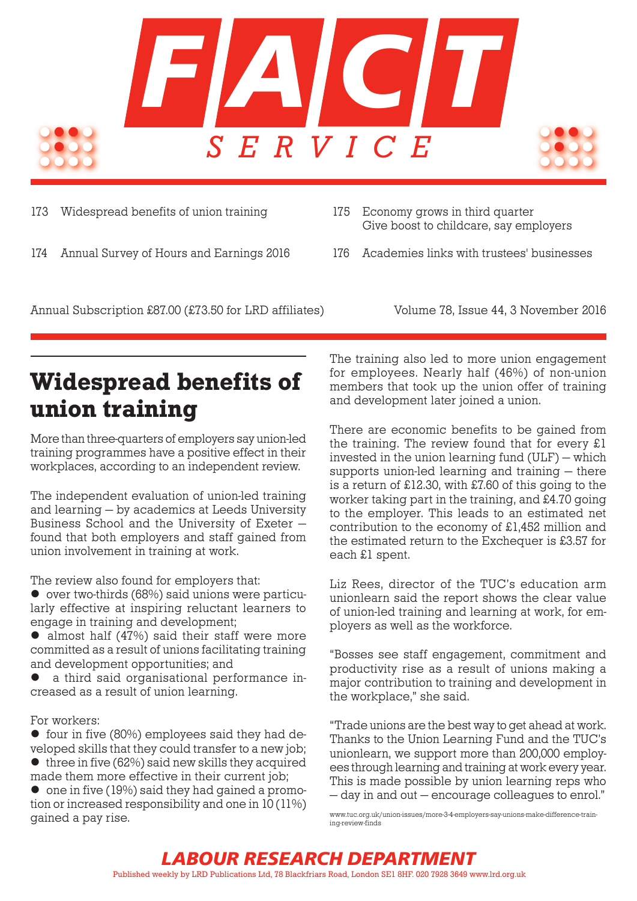

173 Widespread benefits of union training

174 Annual Survey of Hours and Earnings 2016

- 175 Economy grows in third quarter Give boost to childcare, say employers
- 176 Academies links with trustees' businesses

Annual Subscription £87.00 (£73.50 for LRD affiliates) Volume 78, Issue 44, 3 November 2016

## Widespread benefits of union training

More than three-quarters of employers say union-led training programmes have a positive effect in their workplaces, according to an independent review.

The independent evaluation of union-led training and learning — by academics at Leeds University Business School and the University of Exeter found that both employers and staff gained from union involvement in training at work.

The review also found for employers that:

 $\bullet$  over two-thirds (68%) said unions were particularly effective at inspiring reluctant learners to engage in training and development;

 $\bullet$  almost half (47%) said their staff were more committed as a result of unions facilitating training and development opportunities; and

a third said organisational performance increased as a result of union learning.

#### For workers:

 $\bullet$  four in five (80%) employees said they had developed skills that they could transfer to a new job;

 $\bullet$  three in five (62%) said new skills they acquired made them more effective in their current job;

 $\bullet$  one in five (19%) said they had gained a promotion or increased responsibility and one in 10 (11%) gained a pay rise.

The training also led to more union engagement for employees. Nearly half (46%) of non-union members that took up the union offer of training and development later joined a union.

There are economic benefits to be gained from the training. The review found that for every £1 invested in the union learning fund (ULF) — which supports union-led learning and training — there is a return of £12.30, with £7.60 of this going to the worker taking part in the training, and £4.70 going to the employer. This leads to an estimated net contribution to the economy of £1,452 million and the estimated return to the Exchequer is £3.57 for each £1 spent.

Liz Rees, director of the TUC's education arm unionlearn said the report shows the clear value of union-led training and learning at work, for employers as well as the workforce.

"Bosses see staff engagement, commitment and productivity rise as a result of unions making a major contribution to training and development in the workplace," she said.

"Trade unions are the best way to get ahead at work. Thanks to the Union Learning Fund and the TUC's unionlearn, we support more than 200,000 employees through learning and training at work every year. This is made possible by union learning reps who — day in and out — encourage colleagues to enrol."

[www.tuc.org.uk/union-issues/more-3-4-employers-say-unions-make-difference-train](www.tuc.org.uk/union-issues/more-3-4-employers-say-unions-make-difference-training-review-finds)[ing-review-finds](www.tuc.org.uk/union-issues/more-3-4-employers-say-unions-make-difference-training-review-finds)

*LABOUR RESEARCH DEPARTMENT* Published weekly by LRD Publications Ltd, 78 Blackfriars Road, London SE1 8HF. 020 7928 3649 www.lrd.org.uk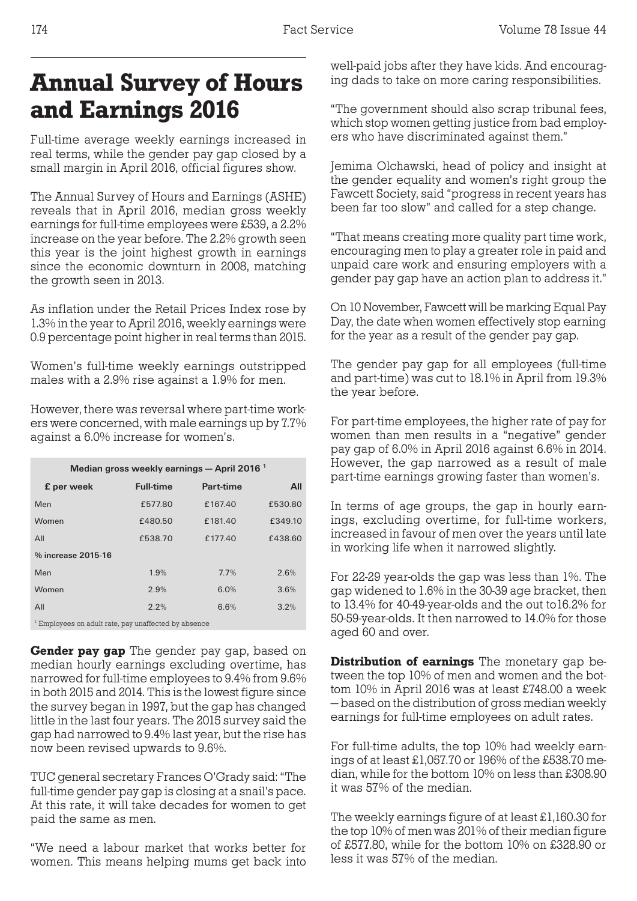## Annual Survey of Hours and Earnings 2016

Full-time average weekly earnings increased in real terms, while the gender pay gap closed by a small margin in April 2016, official figures show.

The Annual Survey of Hours and Earnings (ASHE) reveals that in April 2016, median gross weekly earnings for full-time employees were £539, a 2.2% increase on the year before. The 2.2% growth seen this year is the joint highest growth in earnings since the economic downturn in 2008, matching the growth seen in 2013.

As inflation under the Retail Prices Index rose by 1.3% in the year to April 2016, weekly earnings were 0.9 percentage point higher in real terms than 2015.

Women's full-time weekly earnings outstripped males with a 2.9% rise against a 1.9% for men.

However, there was reversal where part-time workers were concerned, with male earnings up by 7.7% against a 6.0% increase for women's.

| Median gross weekly earnings - April 2016 <sup>1</sup>          |                  |              |         |  |  |  |  |
|-----------------------------------------------------------------|------------------|--------------|---------|--|--|--|--|
| f per week                                                      | <b>Full-time</b> | Part-time    | All     |  |  |  |  |
| Men                                                             | £577.80          | £167.40      | £530.80 |  |  |  |  |
| Women                                                           | £480.50          | £181.40      | £349.10 |  |  |  |  |
| AII                                                             | £538.70          | £177.40      | £438.60 |  |  |  |  |
| % increase 2015-16                                              |                  |              |         |  |  |  |  |
| Men                                                             | 1.9%             | 7.7%         | 2.6%    |  |  |  |  |
| Women                                                           | 2.9%             | 6.0%         | 3.6%    |  |  |  |  |
| All                                                             | 2.2%             | 6.6%<br>3.2% |         |  |  |  |  |
| <sup>1</sup> Employees on adult rate, pay unaffected by absence |                  |              |         |  |  |  |  |

**Gender pay gap** The gender pay gap, based on median hourly earnings excluding overtime, has narrowed for full-time employees to 9.4% from 9.6% in both 2015 and 2014. This is the lowest figure since the survey began in 1997, but the gap has changed little in the last four years. The 2015 survey said the gap had narrowed to 9.4% last year, but the rise has now been revised upwards to 9.6%.

TUC general secretary Frances O'Grady said: "The full-time gender pay gap is closing at a snail's pace. At this rate, it will take decades for women to get paid the same as men.

"We need a labour market that works better for women. This means helping mums get back into well-paid jobs after they have kids. And encouraging dads to take on more caring responsibilities.

"The government should also scrap tribunal fees, which stop women getting justice from bad employers who have discriminated against them."

Jemima Olchawski, head of policy and insight at the gender equality and women's right group the Fawcett Society, said "progress in recent years has been far too slow" and called for a step change.

"That means creating more quality part time work, encouraging men to play a greater role in paid and unpaid care work and ensuring employers with a gender pay gap have an action plan to address it."

On 10 November, Fawcett will be marking Equal Pay Day, the date when women effectively stop earning for the year as a result of the gender pay gap.

The gender pay gap for all employees (full-time and part-time) was cut to 18.1% in April from 19.3% the year before.

For part-time employees, the higher rate of pay for women than men results in a "negative" gender pay gap of 6.0% in April 2016 against 6.6% in 2014. However, the gap narrowed as a result of male part-time earnings growing faster than women's.

In terms of age groups, the gap in hourly earnings, excluding overtime, for full-time workers, increased in favour of men over the years until late in working life when it narrowed slightly.

For 22-29 year-olds the gap was less than 1%. The gap widened to 1.6% in the 30-39 age bracket, then to 13.4% for 40-49-year-olds and the out to16.2% for 50-59-year-olds. It then narrowed to 14.0% for those aged 60 and over.

Distribution of earnings The monetary gap between the top 10% of men and women and the bottom 10% in April 2016 was at least £748.00 a week — based on the distribution of gross median weekly earnings for full-time employees on adult rates.

For full-time adults, the top 10% had weekly earnings of at least £1,057.70 or 196% of the £538.70 median, while for the bottom 10% on less than £308.90 it was 57% of the median.

The weekly earnings figure of at least £1,160.30 for the top 10% of men was 201% of their median figure of £577.80, while for the bottom 10% on £328.90 or less it was 57% of the median.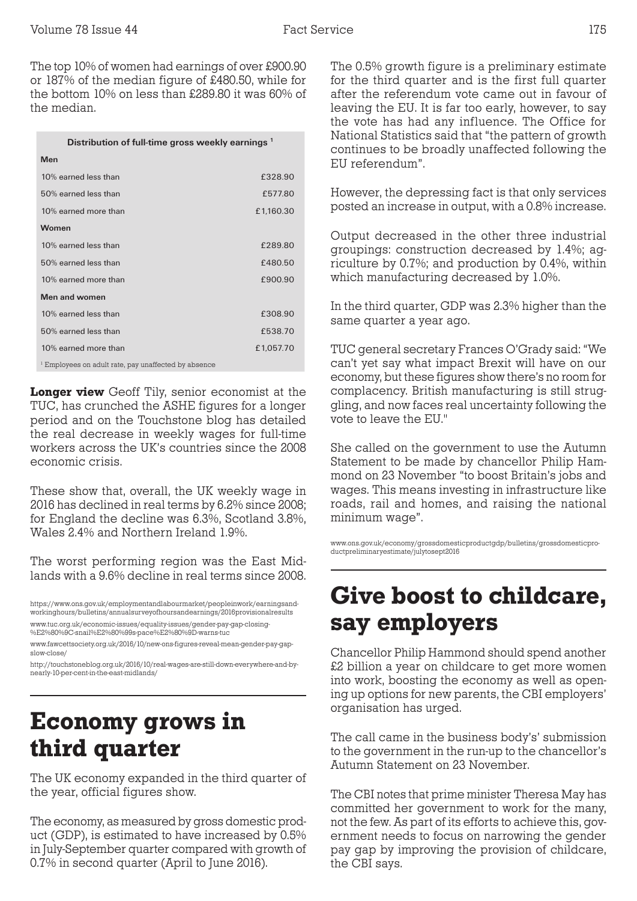The top 10% of women had earnings of over £900.90 or 187% of the median figure of £480.50, while for the bottom 10% on less than £289.80 it was 60% of the median.

| Distribution of full-time gross weekly earnings <sup>1</sup> |  |  |  |
|--------------------------------------------------------------|--|--|--|
|                                                              |  |  |  |

| Men                                                             |           |
|-----------------------------------------------------------------|-----------|
| 10% earned less than                                            | £328.90   |
| 50% earned less than                                            | £577.80   |
| 10% earned more than                                            | £1,160.30 |
| Women                                                           |           |
| 10% earned less than                                            | £289.80   |
| 50% earned less than                                            | £480.50   |
| 10% earned more than                                            | £900.90   |
| Men and women                                                   |           |
| 10% earned less than                                            | £308.90   |
| 50% earned less than                                            | £538.70   |
| 10% earned more than                                            | £1,057.70 |
| <sup>1</sup> Employees on adult rate, pay unaffected by absence |           |

Longer view Geoff Tily, senior economist at the TUC, has crunched the ASHE figures for a longer period and on the Touchstone blog has detailed the real decrease in weekly wages for full-time workers across the UK's countries since the 2008 economic crisis.

These show that, overall, the UK weekly wage in 2016 has declined in real terms by 6.2% since 2008; for England the decline was 6.3%, Scotland 3.8%, Wales 2.4% and Northern Ireland 1.9%.

The worst performing region was the East Midlands with a 9.6% decline in real terms since 2008.

## Economy grows in third quarter

The UK economy expanded in the third quarter of the year, official figures show.

The economy, as measured by gross domestic product (GDP), is estimated to have increased by 0.5% in July-September quarter compared with growth of 0.7% in second quarter (April to June 2016).

The 0.5% growth figure is a preliminary estimate for the third quarter and is the first full quarter after the referendum vote came out in favour of leaving the EU. It is far too early, however, to say the vote has had any influence. The Office for National Statistics said that "the pattern of growth continues to be broadly unaffected following the EU referendum".

However, the depressing fact is that only services posted an increase in output, with a 0.8% increase.

Output decreased in the other three industrial groupings: construction decreased by 1.4%; agriculture by 0.7%; and production by 0.4%, within which manufacturing decreased by 1.0%.

In the third quarter, GDP was 2.3% higher than the same quarter a year ago.

TUC general secretary Frances O'Grady said: "We can't yet say what impact Brexit will have on our economy, but these figures show there's no room for complacency. British manufacturing is still struggling, and now faces real uncertainty following the vote to leave the EU."

She called on the government to use the Autumn Statement to be made by chancellor Philip Hammond on 23 November "to boost Britain's jobs and wages. This means investing in infrastructure like roads, rail and homes, and raising the national minimum wage".

[www.ons.gov.uk/economy/grossdomesticproductgdp/bulletins/grossdomesticpro](www.ons.gov.uk/economy/grossdomesticproductgdp/bulletins/grossdomesticproductpreliminaryestimate/julytosept2016)[ductpreliminaryestimate/julytosept2016](www.ons.gov.uk/economy/grossdomesticproductgdp/bulletins/grossdomesticproductpreliminaryestimate/julytosept2016)

## Give boost to childcare, say employers

Chancellor Philip Hammond should spend another £2 billion a year on childcare to get more women into work, boosting the economy as well as opening up options for new parents, the CBI employers' organisation has urged.

The call came in the business body's' submission to the government in the run-up to the chancellor's Autumn Statement on 23 November.

The CBI notes that prime minister Theresa May has committed her government to work for the many, not the few. As part of its efforts to achieve this, government needs to focus on narrowing the gender pay gap by improving the provision of childcare, the CBI says.

[https://www.ons.gov.uk/employmentandlabourmarket/peopleinwork/earningsand](https://www.ons.gov.uk/employmentandlabourmarket/peopleinwork/earningsandworkinghours/bulletins/annualsurveyofhoursandearnings/2016provisionalresults)[workinghours/bulletins/annualsurveyofhoursandearnings/2016provisionalresults](https://www.ons.gov.uk/employmentandlabourmarket/peopleinwork/earningsandworkinghours/bulletins/annualsurveyofhoursandearnings/2016provisionalresults) [www.tuc.org.uk/economic-issues/equality-issues/gender-pay-gap-closing-](www.tuc.org.uk/economic-issues/equality-issues/gender-pay-gap-closing-%E2%80%9C-snail%E2%80%99s-pace%E2%80%9D-warns-tuc) [%E2%80%9C-snail%E2%80%99s-pace%E2%80%9D-warns-tuc](www.tuc.org.uk/economic-issues/equality-issues/gender-pay-gap-closing-%E2%80%9C-snail%E2%80%99s-pace%E2%80%9D-warns-tuc)

[www.fawcettsociety.org.uk/2016/10/new-ons-figures-reveal-mean-gender-pay-gap](www.fawcettsociety.org.uk/2016/10/new-ons-figures-reveal-mean-gender-pay-gap-slow-close/)[slow-close/](www.fawcettsociety.org.uk/2016/10/new-ons-figures-reveal-mean-gender-pay-gap-slow-close/)

[http://touchstoneblog.org.uk/2016/10/real-wages-are-still-down-everywhere-and-by](http://touchstoneblog.org.uk/2016/10/real-wages-are-still-down-everywhere-and-by-nearly-10-per-cent-in-the-east-midlands/)[nearly-10-per-cent-in-the-east-midlands/](http://touchstoneblog.org.uk/2016/10/real-wages-are-still-down-everywhere-and-by-nearly-10-per-cent-in-the-east-midlands/)